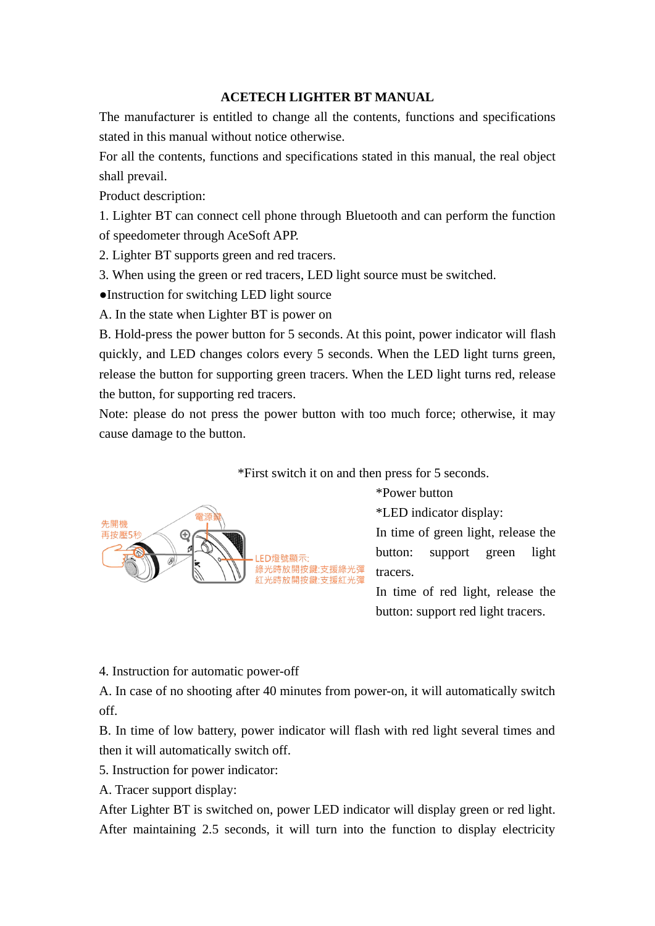## **ACETECH LIGHTER BT MANUAL**

The manufacturer is entitled to change all the contents, functions and specifications stated in this manual without notice otherwise.

For all the contents, functions and specifications stated in this manual, the real object shall prevail.

Product description:

1. Lighter BT can connect cell phone through Bluetooth and can perform the function of speedometer through AceSoft APP.

2. Lighter BT supports green and red tracers.

3. When using the green or red tracers, LED light source must be switched.

●Instruction for switching LED light source

A. In the state when Lighter BT is power on

B. Hold-press the power button for 5 seconds. At this point, power indicator will flash quickly, and LED changes colors every 5 seconds. When the LED light turns green, release the button for supporting green tracers. When the LED light turns red, release the button, for supporting red tracers.

Note: please do not press the power button with too much force; otherwise, it may cause damage to the button.



\*First switch it on and then press for 5 seconds.

\*Power button

\*LED indicator display:

In time of green light, release the button: support green light tracers.

In time of red light, release the button: support red light tracers.

4. Instruction for automatic power-off

A. In case of no shooting after 40 minutes from power-on, it will automatically switch off.

B. In time of low battery, power indicator will flash with red light several times and then it will automatically switch off.

5. Instruction for power indicator:

A. Tracer support display:

After Lighter BT is switched on, power LED indicator will display green or red light. After maintaining 2.5 seconds, it will turn into the function to display electricity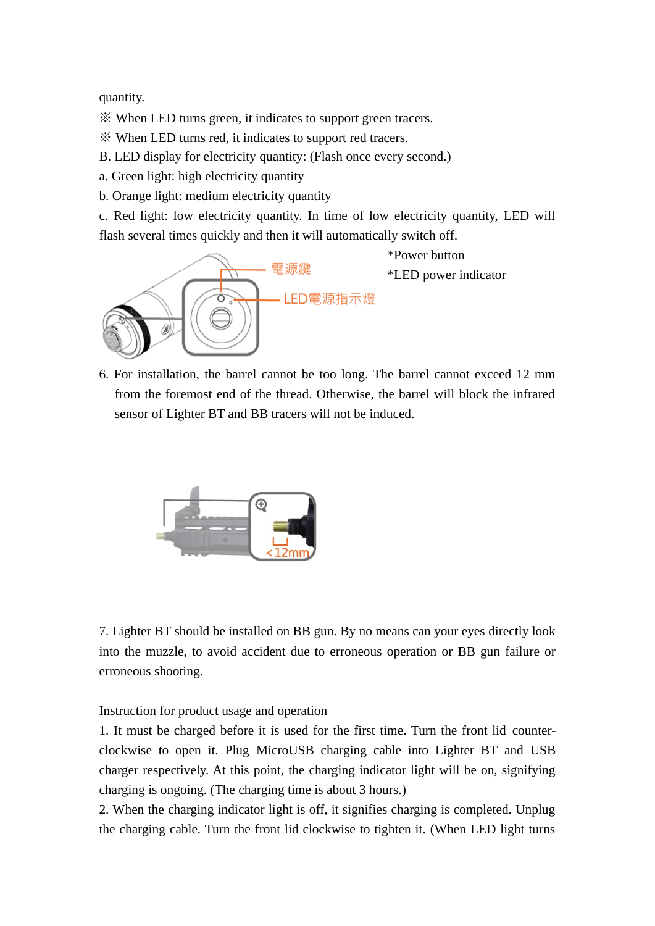quantity.

※ When LED turns green, it indicates to support green tracers.

※ When LED turns red, it indicates to support red tracers.

B. LED display for electricity quantity: (Flash once every second.)

a. Green light: high electricity quantity

b. Orange light: medium electricity quantity

c. Red light: low electricity quantity. In time of low electricity quantity, LED will flash several times quickly and then it will automatically switch off.



6. For installation, the barrel cannot be too long. The barrel cannot exceed 12 mm from the foremost end of the thread. Otherwise, the barrel will block the infrared sensor of Lighter BT and BB tracers will not be induced.



7. Lighter BT should be installed on BB gun. By no means can your eyes directly look into the muzzle, to avoid accident due to erroneous operation or BB gun failure or erroneous shooting.

Instruction for product usage and operation

1. It must be charged before it is used for the first time. Turn the front lid counterclockwise to open it. Plug MicroUSB charging cable into Lighter BT and USB charger respectively. At this point, the charging indicator light will be on, signifying charging is ongoing. (The charging time is about 3 hours.)

2. When the charging indicator light is off, it signifies charging is completed. Unplug the charging cable. Turn the front lid clockwise to tighten it. (When LED light turns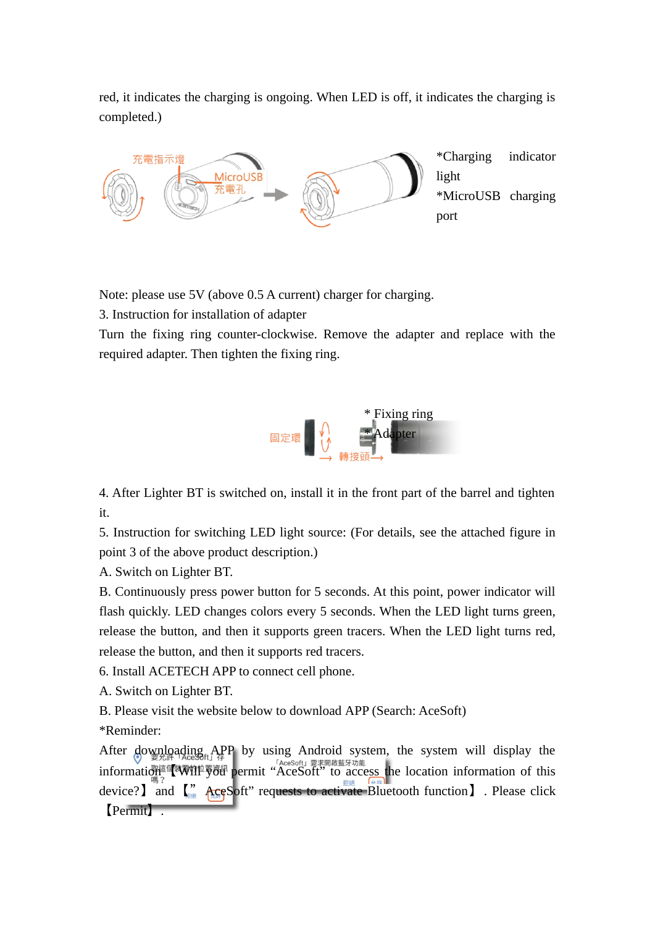red, it indicates the charging is ongoing. When LED is off, it indicates the charging is completed.)



Note: please use 5V (above 0.5 A current) charger for charging.

3. Instruction for installation of adapter

Turn the fixing ring counter-clockwise. Remove the adapter and replace with the required adapter. Then tighten the fixing ring.



4. After Lighter BT is switched on, install it in the front part of the barrel and tighten it.

5. Instruction for switching LED light source: (For details, see the attached figure in point 3 of the above product description.)

A. Switch on Lighter BT.

B. Continuously press power button for 5 seconds. At this point, power indicator will flash quickly. LED changes colors every 5 seconds. When the LED light turns green, release the button, and then it supports green tracers. When the LED light turns red, release the button, and then it supports red tracers.

6. Install ACETECH APP to connect cell phone.

A. Switch on Lighter BT.

B. Please visit the website below to download APP (Search: AceSoft)

\*Reminder:

After downloading APP by using Android system, the system will display the information  $\frac{W}{\sqrt{W}}$  which is the location information of this information of this device? and  $\left(\frac{m}{m}\right)^m$   $\frac{1}{n}$   $\frac{1}{n}$   $\frac{1}{n}$   $\frac{1}{n}$   $\frac{1}{n}$   $\frac{1}{n}$   $\frac{1}{n}$   $\frac{1}{n}$   $\frac{1}{n}$   $\frac{1}{n}$   $\frac{1}{n}$   $\frac{1}{n}$   $\frac{1}{n}$   $\frac{1}{n}$   $\frac{1}{n}$   $\frac{1}{n}$   $\frac{1}{n}$   $\frac{1}{n}$   $\frac{1}{n}$   $\frac{$ 【Permit】.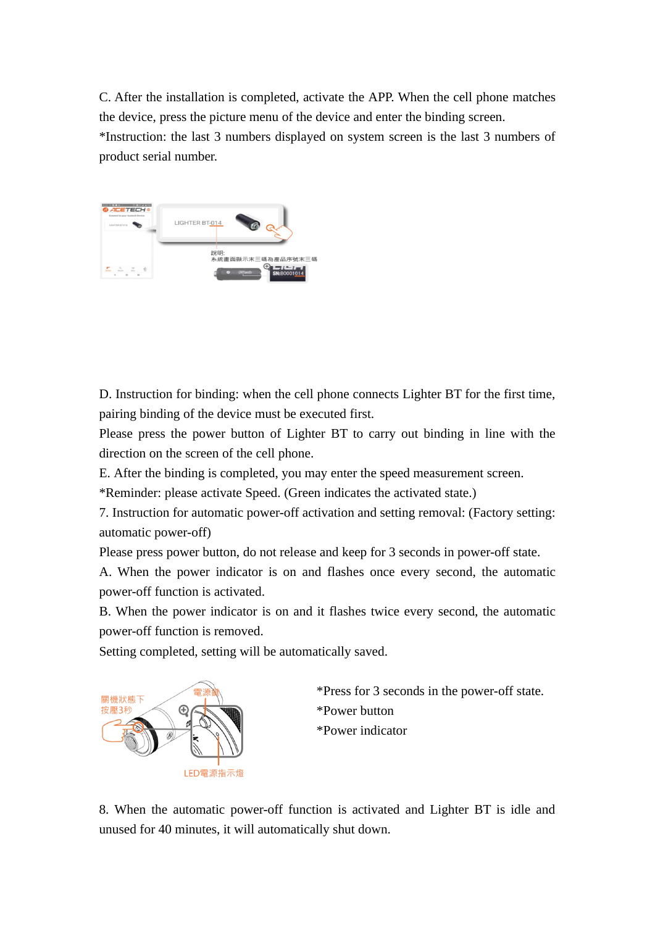C. After the installation is completed, activate the APP. When the cell phone matches the device, press the picture menu of the device and enter the binding screen. \*Instruction: the last 3 numbers displayed on system screen is the last 3 numbers of product serial number.



D. Instruction for binding: when the cell phone connects Lighter BT for the first time, pairing binding of the device must be executed first.

Please press the power button of Lighter BT to carry out binding in line with the direction on the screen of the cell phone.

E. After the binding is completed, you may enter the speed measurement screen.

\*Reminder: please activate Speed. (Green indicates the activated state.)

7. Instruction for automatic power-off activation and setting removal: (Factory setting: automatic power-off)

Please press power button, do not release and keep for 3 seconds in power-off state.

A. When the power indicator is on and flashes once every second, the automatic power-off function is activated.

B. When the power indicator is on and it flashes twice every second, the automatic power-off function is removed.

Setting completed, setting will be automatically saved.



\*Press for 3 seconds in the power-off state. \*Power button \*Power indicator

8. When the automatic power-off function is activated and Lighter BT is idle and unused for 40 minutes, it will automatically shut down.